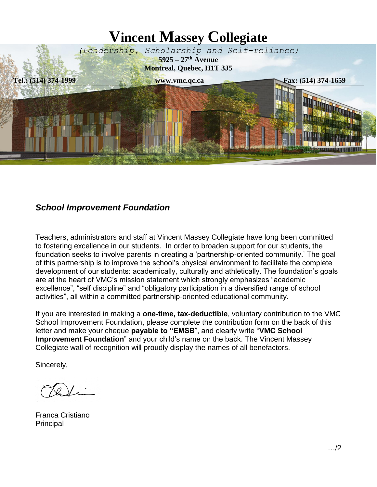

## *School Improvement Foundation*

Teachers, administrators and staff at Vincent Massey Collegiate have long been committed to fostering excellence in our students. In order to broaden support for our students, the foundation seeks to involve parents in creating a 'partnership-oriented community.' The goal of this partnership is to improve the school's physical environment to facilitate the complete development of our students: academically, culturally and athletically. The foundation's goals are at the heart of VMC's mission statement which strongly emphasizes "academic excellence", "self discipline" and "obligatory participation in a diversified range of school activities", all within a committed partnership-oriented educational community.

If you are interested in making a **one-time, tax-deductible**, voluntary contribution to the VMC School Improvement Foundation, please complete the contribution form on the back of this letter and make your cheque **payable to "EMSB**", and clearly write "**VMC School Improvement Foundation**" and your child's name on the back. The Vincent Massey Collegiate wall of recognition will proudly display the names of all benefactors.

Sincerely,

Franca Cristiano Principal